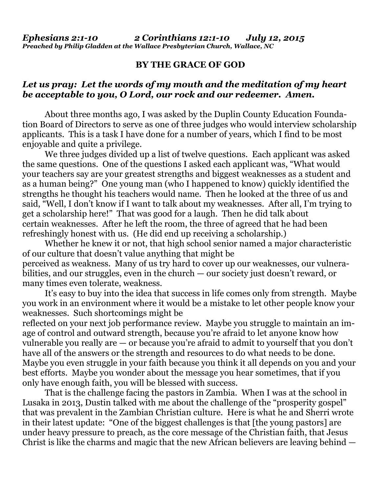## **BY THE GRACE OF GOD**

## *Let us pray: Let the words of my mouth and the meditation of my heart be acceptable to you, O Lord, our rock and our redeemer. Amen.*

About three months ago, I was asked by the Duplin County Education Foundation Board of Directors to serve as one of three judges who would interview scholarship applicants. This is a task I have done for a number of years, which I find to be most enjoyable and quite a privilege.

 We three judges divided up a list of twelve questions. Each applicant was asked the same questions. One of the questions I asked each applicant was, "What would your teachers say are your greatest strengths and biggest weaknesses as a student and as a human being?" One young man (who I happened to know) quickly identified the strengths he thought his teachers would name. Then he looked at the three of us and said, "Well, I don't know if I want to talk about my weaknesses. After all, I'm trying to get a scholarship here!" That was good for a laugh. Then he did talk about certain weaknesses. After he left the room, the three of agreed that he had been refreshingly honest with us. (He did end up receiving a scholarship.)

 Whether he knew it or not, that high school senior named a major characteristic of our culture that doesn't value anything that might be perceived as weakness. Many of us try hard to cover up our weaknesses, our vulnerabilities, and our struggles, even in the church — our society just doesn't reward, or many times even tolerate, weakness.

 It's easy to buy into the idea that success in life comes only from strength. Maybe you work in an environment where it would be a mistake to let other people know your weaknesses. Such shortcomings might be

reflected on your next job performance review. Maybe you struggle to maintain an image of control and outward strength, because you're afraid to let anyone know how vulnerable you really are — or because you're afraid to admit to yourself that you don't have all of the answers or the strength and resources to do what needs to be done. Maybe you even struggle in your faith because you think it all depends on you and your best efforts. Maybe you wonder about the message you hear sometimes, that if you only have enough faith, you will be blessed with success.

 That is the challenge facing the pastors in Zambia. When I was at the school in Lusaka in 2013, Dustin talked with me about the challenge of the "prosperity gospel" that was prevalent in the Zambian Christian culture. Here is what he and Sherri wrote in their latest update: "One of the biggest challenges is that [the young pastors] are under heavy pressure to preach, as the core message of the Christian faith, that Jesus Christ is like the charms and magic that the new African believers are leaving behind —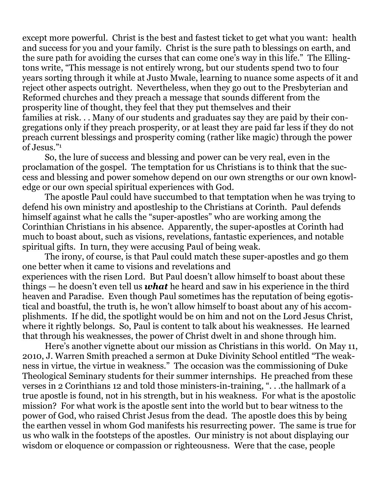except more powerful. Christ is the best and fastest ticket to get what you want: health and success for you and your family. Christ is the sure path to blessings on earth, and the sure path for avoiding the curses that can come one's way in this life." The Ellingtons write, "This message is not entirely wrong, but our students spend two to four years sorting through it while at Justo Mwale, learning to nuance some aspects of it and reject other aspects outright. Nevertheless, when they go out to the Presbyterian and Reformed churches and they preach a message that sounds different from the prosperity line of thought, they feel that they put themselves and their families at risk. . . Many of our students and graduates say they are paid by their congregations only if they preach prosperity, or at least they are paid far less if they do not preach current blessings and prosperity coming (rather like magic) through the power of Jesus."1

 So, the lure of success and blessing and power can be very real, even in the proclamation of the gospel. The temptation for us Christians is to think that the success and blessing and power somehow depend on our own strengths or our own knowledge or our own special spiritual experiences with God.

 The apostle Paul could have succumbed to that temptation when he was trying to defend his own ministry and apostleship to the Christians at Corinth. Paul defends himself against what he calls the "super-apostles" who are working among the Corinthian Christians in his absence. Apparently, the super-apostles at Corinth had much to boast about, such as visions, revelations, fantastic experiences, and notable spiritual gifts. In turn, they were accusing Paul of being weak.

 The irony, of course, is that Paul could match these super-apostles and go them one better when it came to visions and revelations and experiences with the risen Lord. But Paul doesn't allow himself to boast about these things — he doesn't even tell us *what* he heard and saw in his experience in the third heaven and Paradise. Even though Paul sometimes has the reputation of being egotistical and boastful, the truth is, he won't allow himself to boast about any of his accomplishments. If he did, the spotlight would be on him and not on the Lord Jesus Christ, where it rightly belongs. So, Paul is content to talk about his weaknesses. He learned that through his weaknesses, the power of Christ dwelt in and shone through him.

 Here's another vignette about our mission as Christians in this world. On May 11, 2010, J. Warren Smith preached a sermon at Duke Divinity School entitled "The weakness in virtue, the virtue in weakness." The occasion was the commissioning of Duke Theological Seminary students for their summer internships. He preached from these verses in 2 Corinthians 12 and told those ministers-in-training, ". . .the hallmark of a true apostle is found, not in his strength, but in his weakness. For what is the apostolic mission? For what work is the apostle sent into the world but to bear witness to the power of God, who raised Christ Jesus from the dead. The apostle does this by being the earthen vessel in whom God manifests his resurrecting power. The same is true for us who walk in the footsteps of the apostles. Our ministry is not about displaying our wisdom or eloquence or compassion or righteousness. Were that the case, people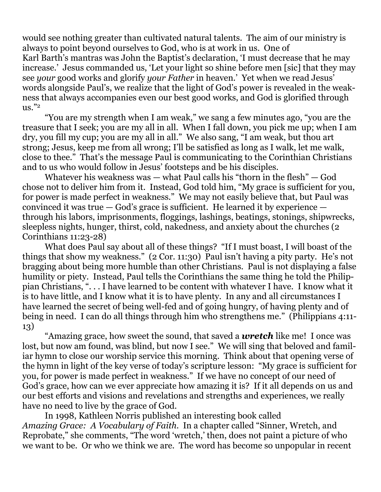would see nothing greater than cultivated natural talents. The aim of our ministry is always to point beyond ourselves to God, who is at work in us. One of Karl Barth's mantras was John the Baptist's declaration, 'I must decrease that he may increase.' Jesus commanded us, 'Let your light so shine before men [sic] that they may see *your* good works and glorify *your Father* in heaven.' Yet when we read Jesus' words alongside Paul's, we realize that the light of God's power is revealed in the weakness that always accompanies even our best good works, and God is glorified through  $us.$ "2

 "You are my strength when I am weak," we sang a few minutes ago, "you are the treasure that I seek; you are my all in all. When I fall down, you pick me up; when I am dry, you fill my cup; you are my all in all." We also sang, "I am weak, but thou art strong; Jesus, keep me from all wrong; I'll be satisfied as long as I walk, let me walk, close to thee." That's the message Paul is communicating to the Corinthian Christians and to us who would follow in Jesus' footsteps and be his disciples.

 Whatever his weakness was — what Paul calls his "thorn in the flesh" — God chose not to deliver him from it. Instead, God told him, "My grace is sufficient for you, for power is made perfect in weakness." We may not easily believe that, but Paul was convinced it was true  $-$  God's grace is sufficient. He learned it by experience  $$ through his labors, imprisonments, floggings, lashings, beatings, stonings, shipwrecks, sleepless nights, hunger, thirst, cold, nakedness, and anxiety about the churches (2 Corinthians 11:23-28)

 What does Paul say about all of these things? "If I must boast, I will boast of the things that show my weakness." (2 Cor. 11:30) Paul isn't having a pity party. He's not bragging about being more humble than other Christians. Paul is not displaying a false humility or piety. Instead, Paul tells the Corinthians the same thing he told the Philippian Christians, ". . . I have learned to be content with whatever I have. I know what it is to have little, and I know what it is to have plenty. In any and all circumstances I have learned the secret of being well-fed and of going hungry, of having plenty and of being in need. I can do all things through him who strengthens me." (Philippians 4:11- 13)

 "Amazing grace, how sweet the sound, that saved a *wretch* like me! I once was lost, but now am found, was blind, but now I see." We will sing that beloved and familiar hymn to close our worship service this morning. Think about that opening verse of the hymn in light of the key verse of today's scripture lesson: "My grace is sufficient for you, for power is made perfect in weakness." If we have no concept of our need of God's grace, how can we ever appreciate how amazing it is? If it all depends on us and our best efforts and visions and revelations and strengths and experiences, we really have no need to live by the grace of God.

 In 1998, Kathleen Norris published an interesting book called *Amazing Grace: A Vocabulary of Faith*. In a chapter called "Sinner, Wretch, and Reprobate," she comments, "The word 'wretch,' then, does not paint a picture of who we want to be. Or who we think we are. The word has become so unpopular in recent